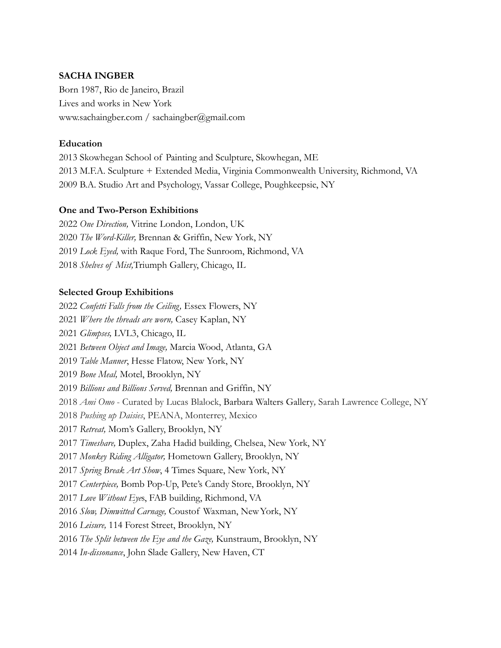# **SACHA INGBER**

Born 1987, Rio de Janeiro, Brazil Lives and works in New York [www.sachaingber.com](http://www.sachaingber.com) / sachaingber@gmail.com

# **Education**

2013 Skowhegan School of Painting and Sculpture, Skowhegan, ME 2013 M.F.A. Sculpture + Extended Media, Virginia Commonwealth University, Richmond, VA 2009 B.A. Studio Art and Psychology, Vassar College, Poughkeepsie, NY

### **One and Two-Person Exhibitions**

 *One Direction,* Vitrine London, London, UK *The Word-Killer,* Brennan & Griffin, New York, NY *Lock Eyed,* with Raque Ford, The Sunroom, Richmond, VA *Shelves of Mist,*Triumph Gallery, Chicago, IL

### **Selected Group Exhibitions**

 *Confetti Falls from the Ceiling,* Essex Flowers, NY *Where the threads are worn,* Casey Kaplan, NY *Glimpses,* LVL3, Chicago, IL *Between Object and Image,* Marcia Wood, Atlanta, GA *Table Manner*, Hesse Flatow, New York, NY *Bone Meal,* Motel, Brooklyn, NY *Billions and Billions Served,* Brennan and Griffin, NY *Ami Omo* - Curated by Lucas Blalock, Barbara Walters Gallery*,* Sarah Lawrence College, NY *Pushing up Daisies*, PEANA, Monterrey, Mexico *Retreat,* Mom's Gallery, Brooklyn, NY *Timeshare,* Duplex, Zaha Hadid building, Chelsea, New York, NY *Monkey Riding Alligator,* Hometown Gallery, Brooklyn, NY *Spring Break Art Show*, 4 Times Square, New York, NY *Centerpiece,* Bomb Pop-Up, Pete's Candy Store, Brooklyn, NY *Love Without Eye*s, FAB building, Richmond, VA *Slow, Dimwitted Carnage,* Coustof Waxman, NewYork, NY *Leisure,* 114 Forest Street, Brooklyn, NY *The Split between the Eye and the Gaze,* Kunstraum, Brooklyn, NY *In-dissonance*, John Slade Gallery, New Haven, CT